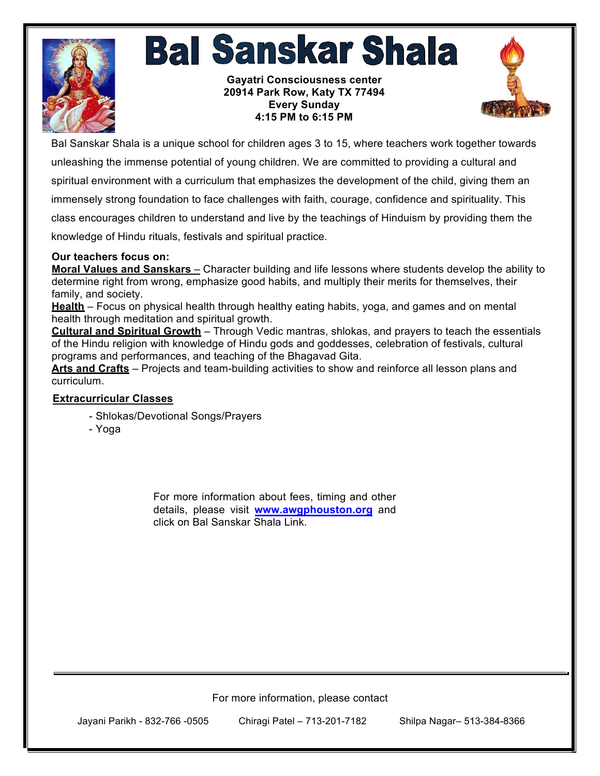

## **Bal Sanskar Shala**

**Gayatri Consciousness center 20914 Park Row, Katy TX 77494 Every Sunday 4:15 PM to 6:15 PM**



Bal Sanskar Shala is a unique school for children ages 3 to 15, where teachers work together towards unleashing the immense potential of young children. We are committed to providing a cultural and spiritual environment with a curriculum that emphasizes the development of the child, giving them an immensely strong foundation to face challenges with faith, courage, confidence and spirituality. This class encourages children to understand and live by the teachings of Hinduism by providing them the knowledge of Hindu rituals, festivals and spiritual practice.

## **Our teachers focus on:**

**Moral Values and Sanskars** – Character building and life lessons where students develop the ability to determine right from wrong, emphasize good habits, and multiply their merits for themselves, their family, and society.

**Health** – Focus on physical health through healthy eating habits, yoga, and games and on mental health through meditation and spiritual growth.

**Cultural and Spiritual Growth** – Through Vedic mantras, shlokas, and prayers to teach the essentials of the Hindu religion with knowledge of Hindu gods and goddesses, celebration of festivals, cultural programs and performances, and teaching of the Bhagavad Gita.

**Arts and Crafts** – Projects and team-building activities to show and reinforce all lesson plans and curriculum.

## **Extracurricular Classes**

- Shlokas/Devotional Songs/Prayers
- Yoga

For more information about fees, timing and other details, please visit **www.awgphouston.org** and click on Bal Sanskar Shala Link.

For more information, please contact